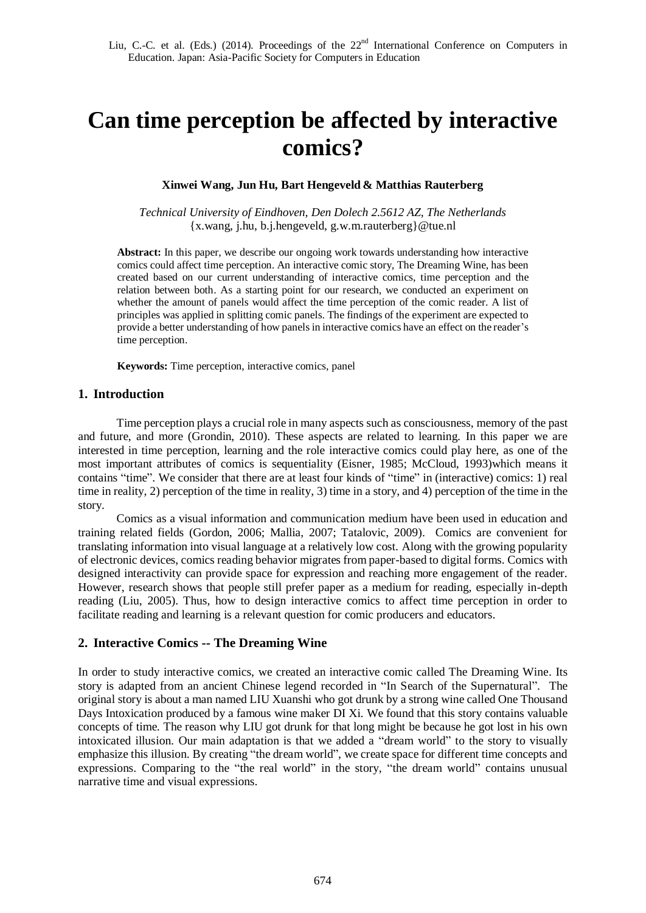# **Can time perception be affected by interactive comics?**

### **Xinwei Wang, Jun Hu, Bart Hengeveld & Matthias Rauterberg**

*Technical University of Eindhoven, Den Dolech 2.5612 AZ, The Netherlands*  {x.wang, j.hu, b.j.hengeveld, g.w.m.rauterberg}@tue.nl

**Abstract:** In this paper, we describe our ongoing work towards understanding how interactive comics could affect time perception. An interactive comic story, The Dreaming Wine, has been created based on our current understanding of interactive comics, time perception and the relation between both. As a starting point for our research, we conducted an experiment on whether the amount of panels would affect the time perception of the comic reader. A list of principles was applied in splitting comic panels. The findings of the experiment are expected to provide a better understanding of how panels in interactive comics have an effect on the reader's time perception.

**Keywords:** Time perception, interactive comics, panel

## **1. Introduction**

Time perception plays a crucial role in many aspects such as consciousness, memory of the past and future, and more (Grondin, 2010). These aspects are related to learning. In this paper we are interested in time perception, learning and the role interactive comics could play here, as one of the most important attributes of comics is sequentiality (Eisner, 1985; McCloud, 1993)which means it contains "time". We consider that there are at least four kinds of "time" in (interactive) comics: 1) real time in reality, 2) perception of the time in reality, 3) time in a story, and 4) perception of the time in the story.

Comics as a visual information and communication medium have been used in education and training related fields (Gordon, 2006; Mallia, 2007; Tatalovic, 2009). Comics are convenient for translating information into visual language at a relatively low cost. Along with the growing popularity of electronic devices, comics reading behavior migrates from paper-based to digital forms. Comics with designed interactivity can provide space for expression and reaching more engagement of the reader. However, research shows that people still prefer paper as a medium for reading, especially in-depth reading (Liu, 2005). Thus, how to design interactive comics to affect time perception in order to facilitate reading and learning is a relevant question for comic producers and educators.

## **2. Interactive Comics -- The Dreaming Wine**

In order to study interactive comics, we created an interactive comic called The Dreaming Wine. Its story is adapted from an ancient Chinese legend recorded in "In Search of the Supernatural". The original story is about a man named LIU Xuanshi who got drunk by a strong wine called One Thousand Days Intoxication produced by a famous wine maker DI Xi. We found that this story contains valuable concepts of time. The reason why LIU got drunk for that long might be because he got lost in his own intoxicated illusion. Our main adaptation is that we added a "dream world" to the story to visually emphasize this illusion. By creating "the dream world", we create space for different time concepts and expressions. Comparing to the "the real world" in the story, "the dream world" contains unusual narrative time and visual expressions.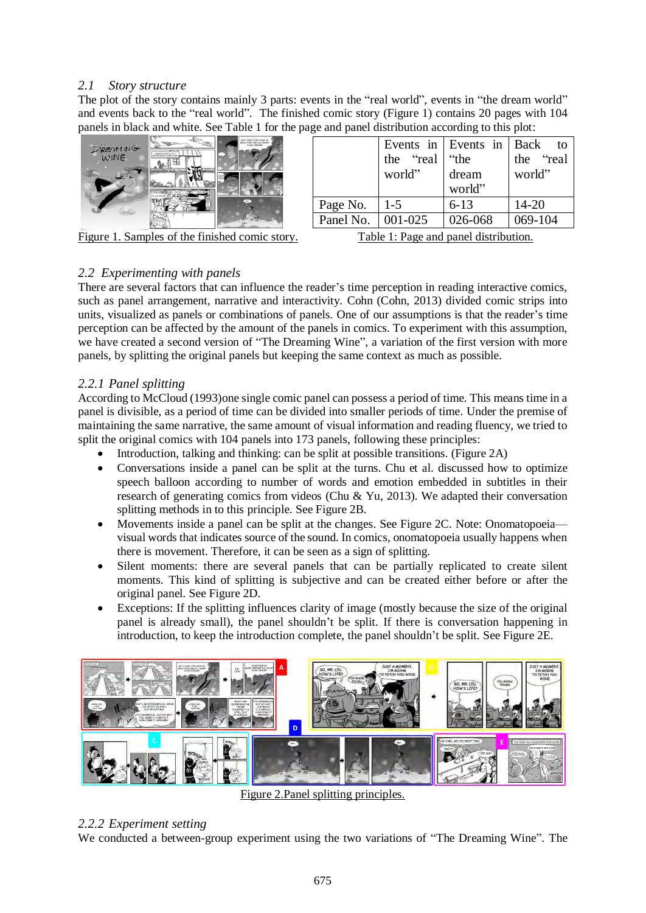## *2.1 Story structure*

The plot of the story contains mainly 3 parts: events in the "real world", events in "the dream world" and events back to the "real world". The finished comic story (Figure 1) contains 20 pages with 104 panels in black and white. See Table 1 for the page and panel distribution according to this plot:



|                                      |           | Events in Events in Back | to        |
|--------------------------------------|-----------|--------------------------|-----------|
|                                      | the "real | "the                     | the "real |
|                                      | world"    | dream                    | world"    |
|                                      |           | world"                   |           |
| Page No.                             | $1-5$     | $6 - 13$                 | $14 - 20$ |
| Panel No.                            | 001-025   | 026-068                  | 069-104   |
| Table 1. Dave and nonel distribution |           |                          |           |

Figure 1. Samples of the finished comic story. Table 1: Page and panel distribution.

## *2.2 Experimenting with panels*

There are several factors that can influence the reader's time perception in reading interactive comics, such as panel arrangement, narrative and interactivity. Cohn (Cohn, 2013) divided comic strips into units, visualized as panels or combinations of panels. One of our assumptions is that the reader's time perception can be affected by the amount of the panels in comics. To experiment with this assumption, we have created a second version of "The Dreaming Wine", a variation of the first version with more panels, by splitting the original panels but keeping the same context as much as possible.

## *2.2.1 Panel splitting*

According to McCloud (1993)one single comic panel can possess a period of time. This means time in a panel is divisible, as a period of time can be divided into smaller periods of time. Under the premise of maintaining the same narrative, the same amount of visual information and reading fluency, we tried to split the original comics with 104 panels into 173 panels, following these principles:

- Introduction, talking and thinking: can be split at possible transitions. (Figure 2A)
- Conversations inside a panel can be split at the turns. Chu et al. discussed how to optimize speech balloon according to number of words and emotion embedded in subtitles in their research of generating comics from videos (Chu & Yu, 2013). We adapted their conversation splitting methods in to this principle. See Figure 2B.
- Movements inside a panel can be split at the changes. See Figure 2C. Note: Onomatopoeia visual words that indicates source of the sound. In comics, onomatopoeia usually happens when there is movement. Therefore, it can be seen as a sign of splitting.
- Silent moments: there are several panels that can be partially replicated to create silent moments. This kind of splitting is subjective and can be created either before or after the original panel. See Figure 2D.
- Exceptions: If the splitting influences clarity of image (mostly because the size of the original panel is already small), the panel shouldn't be split. If there is conversation happening in introduction, to keep the introduction complete, the panel shouldn't be split. See Figure 2E.



Figure 2.Panel splitting principles.

## *2.2.2 Experiment setting*

We conducted a between-group experiment using the two variations of "The Dreaming Wine". The